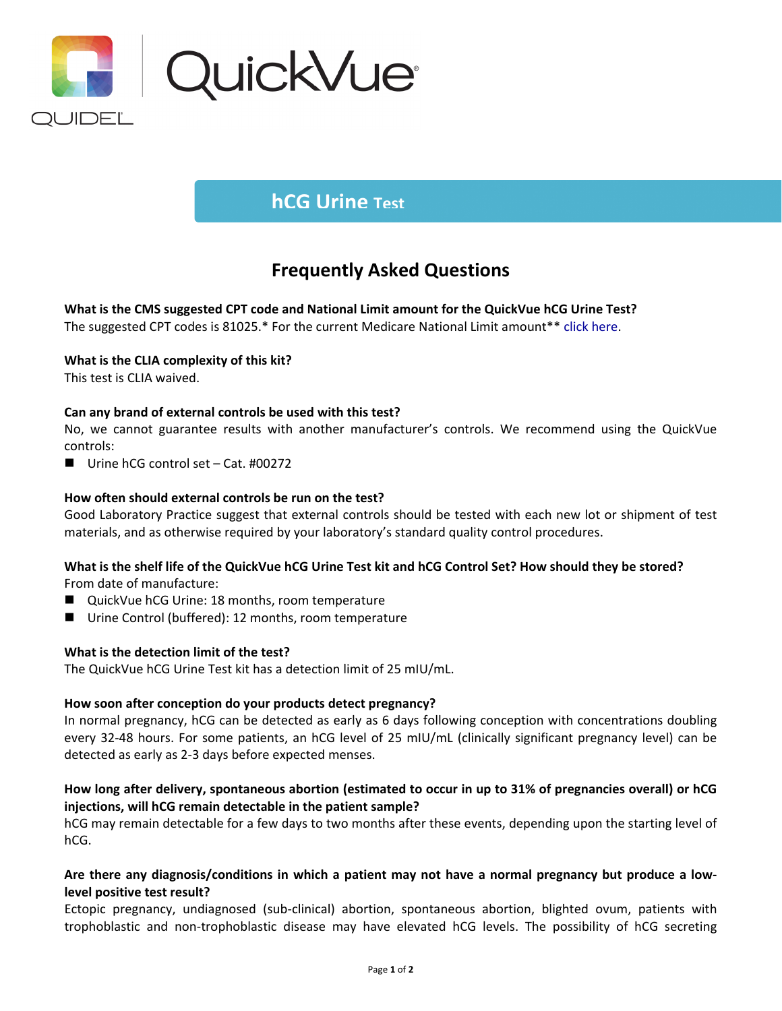

# **hCG Urine Test**

# **Frequently Asked Questions**

**What is the CMS suggested CPT code and National Limit amount for the QuickVue hCG Urine Test?** 

The suggested CPT codes is 81025.\* For the current Medicare National Limit amount\*[\\* click here.](https://www.codemap.com/quidel/index.cfm?page=rapid)

# **What is the CLIA complexity of this kit?**

This test is CLIA waived.

### **Can any brand of external controls be used with this test?**

No, we cannot guarantee results with another manufacturer's controls. We recommend using the QuickVue controls:

■ Urine hCG control set – Cat. #00272

# **How often should external controls be run on the test?**

Good Laboratory Practice suggest that external controls should be tested with each new lot or shipment of test materials, and as otherwise required by your laboratory's standard quality control procedures.

### **What is the shelf life of the QuickVue hCG Urine Test kit and hCG Control Set? How should they be stored?**

From date of manufacture:

- QuickVue hCG Urine: 18 months, room temperature
- Urine Control (buffered): 12 months, room temperature

### **What is the detection limit of the test?**

The QuickVue hCG Urine Test kit has a detection limit of 25 mIU/mL.

### **How soon after conception do your products detect pregnancy?**

In normal pregnancy, hCG can be detected as early as 6 days following conception with concentrations doubling every 32-48 hours. For some patients, an hCG level of 25 mIU/mL (clinically significant pregnancy level) can be detected as early as 2-3 days before expected menses.

# **How long after delivery, spontaneous abortion (estimated to occur in up to 31% of pregnancies overall) or hCG injections, will hCG remain detectable in the patient sample?**

hCG may remain detectable for a few days to two months after these events, depending upon the starting level of hCG.

### **Are there any diagnosis/conditions in which a patient may not have a normal pregnancy but produce a lowlevel positive test result?**

Ectopic pregnancy, undiagnosed (sub-clinical) abortion, spontaneous abortion, blighted ovum, patients with trophoblastic and non-trophoblastic disease may have elevated hCG levels. The possibility of hCG secreting